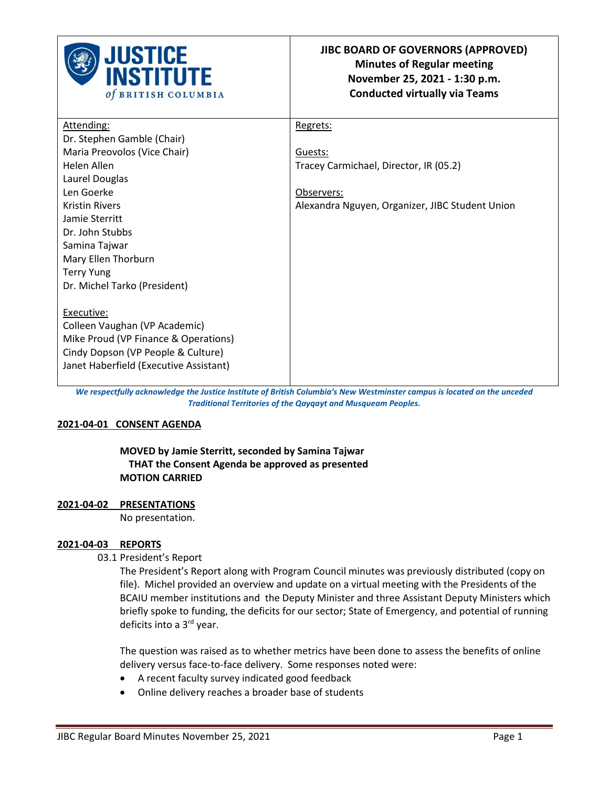

| Attending:                             | Regrets:                                        |
|----------------------------------------|-------------------------------------------------|
| Dr. Stephen Gamble (Chair)             |                                                 |
| Maria Preovolos (Vice Chair)           | Guests:                                         |
| Helen Allen                            | Tracey Carmichael, Director, IR (05.2)          |
| Laurel Douglas                         |                                                 |
| Len Goerke                             | Observers:                                      |
| <b>Kristin Rivers</b>                  | Alexandra Nguyen, Organizer, JIBC Student Union |
| Jamie Sterritt                         |                                                 |
| Dr. John Stubbs                        |                                                 |
| Samina Tajwar                          |                                                 |
| Mary Ellen Thorburn                    |                                                 |
| <b>Terry Yung</b>                      |                                                 |
| Dr. Michel Tarko (President)           |                                                 |
|                                        |                                                 |
| Executive:                             |                                                 |
| Colleen Vaughan (VP Academic)          |                                                 |
| Mike Proud (VP Finance & Operations)   |                                                 |
| Cindy Dopson (VP People & Culture)     |                                                 |
| Janet Haberfield (Executive Assistant) |                                                 |
|                                        |                                                 |

*We respectfully acknowledge the Justice Institute of British Columbia's New Westminster campus is located on the unceded Traditional Territories of the Qayqayt and Musqueam Peoples.*

### **2021-04-01 CONSENT AGENDA**

 **MOVED by Jamie Sterritt, seconded by Samina Tajwar THAT the Consent Agenda be approved as presented MOTION CARRIED** 

#### **2021-04-02 PRESENTATIONS**

No presentation.

#### **2021-04-03 REPORTS**

03.1 President's Report

The President's Report along with Program Council minutes was previously distributed (copy on file). Michel provided an overview and update on a virtual meeting with the Presidents of the BCAIU member institutions and the Deputy Minister and three Assistant Deputy Ministers which briefly spoke to funding, the deficits for our sector; State of Emergency, and potential of running deficits into a 3<sup>rd</sup> year.

The question was raised as to whether metrics have been done to assess the benefits of online delivery versus face-to-face delivery. Some responses noted were:

- A recent faculty survey indicated good feedback
- Online delivery reaches a broader base of students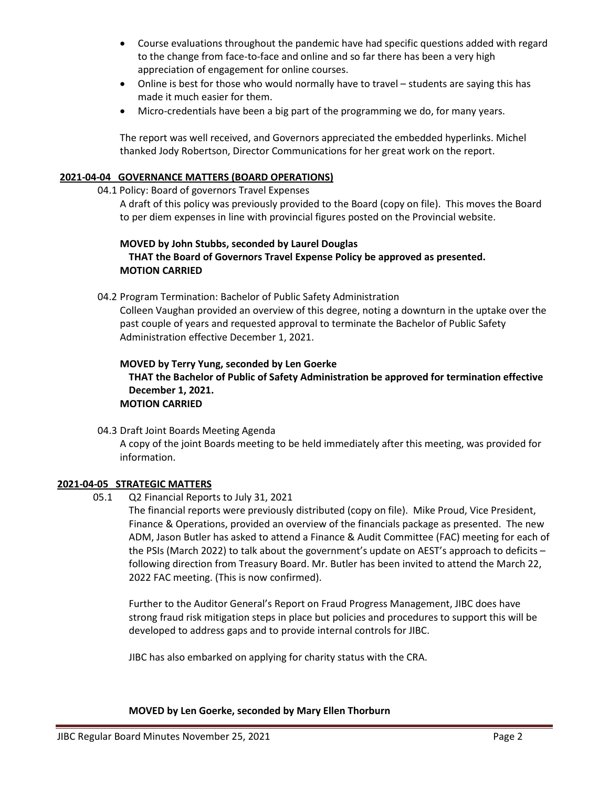- Course evaluations throughout the pandemic have had specific questions added with regard to the change from face-to-face and online and so far there has been a very high appreciation of engagement for online courses.
- Online is best for those who would normally have to travel students are saying this has made it much easier for them.
- Micro-credentials have been a big part of the programming we do, for many years.

The report was well received, and Governors appreciated the embedded hyperlinks. Michel thanked Jody Robertson, Director Communications for her great work on the report.

# **2021-04-04 GOVERNANCE MATTERS (BOARD OPERATIONS)**

## 04.1 Policy: Board of governors Travel Expenses

 A draft of this policy was previously provided to the Board (copy on file). This moves the Board to per diem expenses in line with provincial figures posted on the Provincial website.

# **MOVED by John Stubbs, seconded by Laurel Douglas THAT the Board of Governors Travel Expense Policy be approved as presented. MOTION CARRIED**

04.2 Program Termination: Bachelor of Public Safety Administration

 Colleen Vaughan provided an overview of this degree, noting a downturn in the uptake over the past couple of years and requested approval to terminate the Bachelor of Public Safety Administration effective December 1, 2021.

# **MOVED by Terry Yung, seconded by Len Goerke THAT the Bachelor of Public of Safety Administration be approved for termination effective December 1, 2021. MOTION CARRIED**

04.3 Draft Joint Boards Meeting Agenda A copy of the joint Boards meeting to be held immediately after this meeting, was provided for information.

# **2021-04-05 STRATEGIC MATTERS**

05.1 Q2 Financial Reports to July 31, 2021

The financial reports were previously distributed (copy on file). Mike Proud, Vice President, Finance & Operations, provided an overview of the financials package as presented. The new ADM, Jason Butler has asked to attend a Finance & Audit Committee (FAC) meeting for each of the PSIs (March 2022) to talk about the government's update on AEST's approach to deficits – following direction from Treasury Board. Mr. Butler has been invited to attend the March 22, 2022 FAC meeting. (This is now confirmed).

Further to the Auditor General's Report on Fraud Progress Management, JIBC does have strong fraud risk mitigation steps in place but policies and procedures to support this will be developed to address gaps and to provide internal controls for JIBC.

JIBC has also embarked on applying for charity status with the CRA.

**MOVED by Len Goerke, seconded by Mary Ellen Thorburn**